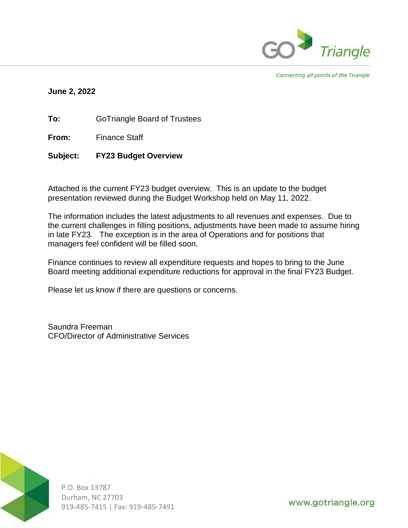

Connecting all points of the Triangle

### **June 2, 2022**

**To:** GoTriangle Board of Trustees

**From:** Finance Staff

**Subject: FY23 Budget Overview**

Attached is the current FY23 budget overview. This is an update to the budget presentation reviewed during the Budget Workshop held on May 11, 2022.

The information includes the latest adjustments to all revenues and expenses. Due to the current challenges in filling positions, adjustments have been made to assume hiring in late FY23. The exception is in the area of Operations and for positions that managers feel confident will be filled soon.

Finance continues to review all expenditure requests and hopes to bring to the June Board meeting additional expenditure reductions for approval in the final FY23 Budget.

Please let us know if there are questions or concerns.

Saundra Freeman CFO/Director of Administrative Services



P.O. Box 13787 Durham, NC 27703 919-485-7415 | Fax: 919-485-7491

www.gotriangle.org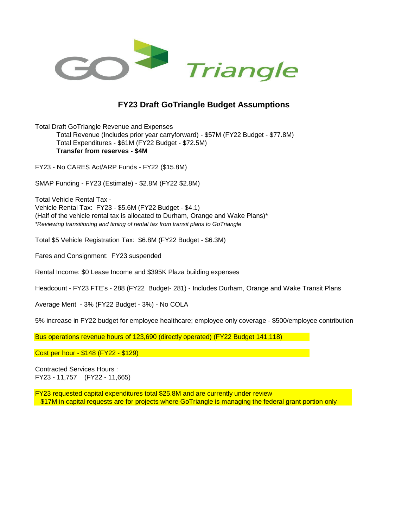

## **FY23 Draft GoTriangle Budget Assumptions**

Total Draft GoTriangle Revenue and Expenses Total Revenue (Includes prior year carryforward) - \$57M (FY22 Budget - \$77.8M) Total Expenditures - \$61M (FY22 Budget - \$72.5M) **Transfer from reserves - \$4M** 

FY23 - No CARES Act/ARP Funds - FY22 (\$15.8M)

SMAP Funding - FY23 (Estimate) - \$2.8M (FY22 \$2.8M)

Total Vehicle Rental Tax - Vehicle Rental Tax: FY23 - \$5.6M (FY22 Budget - \$4.1) (Half of the vehicle rental tax is allocated to Durham, Orange and Wake Plans)\* *\*Reviewing transitioning and timing of rental tax from transit plans to GoTriangle*

Total \$5 Vehicle Registration Tax: \$6.8M (FY22 Budget - \$6.3M)

Fares and Consignment: FY23 suspended

Rental Income: \$0 Lease Income and \$395K Plaza building expenses

Headcount - FY23 FTE's - 288 (FY22 Budget- 281) - Includes Durham, Orange and Wake Transit Plans

Average Merit - 3% (FY22 Budget - 3%) - No COLA

5% increase in FY22 budget for employee healthcare; employee only coverage - \$500/employee contribution

Bus operations revenue hours of 123,690 (directly operated) (FY22 Budget 141,118)

Cost per hour - \$148 (FY22 - \$129)

Contracted Services Hours : FY23 - 11,757 (FY22 - 11,665)

FY23 requested capital expenditures total \$25.8M and are currently under review \$17M in capital requests are for projects where GoTriangle is managing the federal grant portion only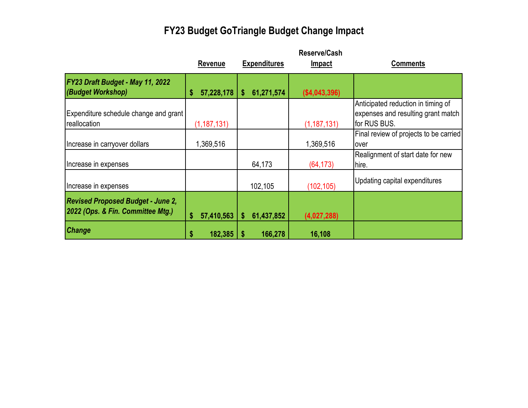# **FY23 Budget GoTriangle Budget Change Impact**

|                                                                               | Revenue          | <b>Expenditures</b> | <b>Reserve/Cash</b><br><b>Impact</b> | <b>Comments</b>                                                                          |
|-------------------------------------------------------------------------------|------------------|---------------------|--------------------------------------|------------------------------------------------------------------------------------------|
| FY23 Draft Budget - May 11, 2022<br>(Budget Workshop)                         | 57,228,178       | 61,271,574<br>\$    | ( \$4,043,396)                       |                                                                                          |
| Expenditure schedule change and grant<br>reallocation                         | (1, 187, 131)    |                     | (1, 187, 131)                        | Anticipated reduction in timing of<br>expenses and resulting grant match<br>for RUS BUS. |
| Increase in carryover dollars                                                 | 1,369,516        |                     | 1,369,516                            | Final review of projects to be carried<br>over                                           |
| Increase in expenses                                                          |                  | 64,173              | (64, 173)                            | Realignment of start date for new<br>hire.                                               |
| Increase in expenses                                                          |                  | 102,105             | (102, 105)                           | Updating capital expenditures                                                            |
| <b>Revised Proposed Budget - June 2,</b><br>2022 (Ops. & Fin. Committee Mtg.) | 57,410,563<br>\$ | 61,437,852<br>\$    | (4,027,288)                          |                                                                                          |
| <b>Change</b>                                                                 | 182,385<br>\$    | 166,278<br>S        | 16,108                               |                                                                                          |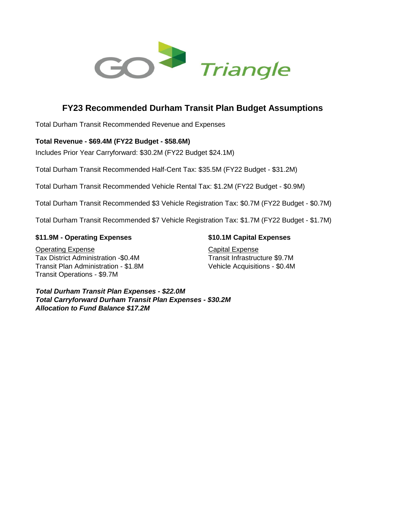

# **FY23 Recommended Durham Transit Plan Budget Assumptions**

Total Durham Transit Recommended Revenue and Expenses

#### **Total Revenue - \$69.4M (FY22 Budget - \$58.6M)**

Includes Prior Year Carryforward: \$30.2M (FY22 Budget \$24.1M)

Total Durham Transit Recommended Half-Cent Tax: \$35.5M (FY22 Budget - \$31.2M)

Total Durham Transit Recommended Vehicle Rental Tax: \$1.2M (FY22 Budget - \$0.9M)

Total Durham Transit Recommended \$3 Vehicle Registration Tax: \$0.7M (FY22 Budget - \$0.7M)

Total Durham Transit Recommended \$7 Vehicle Registration Tax: \$1.7M (FY22 Budget - \$1.7M)

#### **\$11.9M - Operating Expenses \$10.1M Capital Expenses**

**Operating Expense** Capital Expense Tax District Administration -\$0.4M Transit Infrastructure \$9.7M Transit Plan Administration - \$1.8M Vehicle Acquisitions - \$0.4M Transit Operations - \$9.7M

*Total Durham Transit Plan Expenses - \$22.0M Total Carryforward Durham Transit Plan Expenses - \$30.2M Allocation to Fund Balance \$17.2M*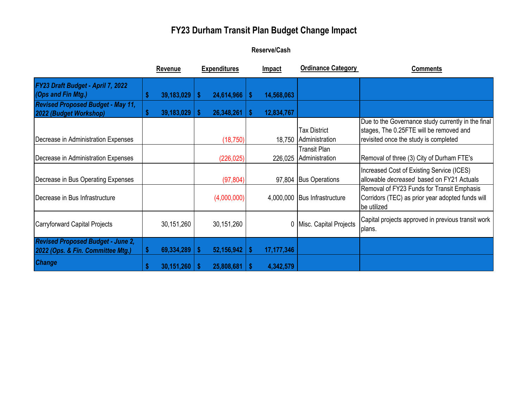# **FY23 Durham Transit Plan Budget Change Impact**

## **Reserve/Cash**

|                                                                               |   | <b>Revenue</b>    |    | <b>Expenditures</b> |      | <b>Impact</b> | <b>Ordinance Category</b>                     | <b>Comments</b>                                                                                                                        |
|-------------------------------------------------------------------------------|---|-------------------|----|---------------------|------|---------------|-----------------------------------------------|----------------------------------------------------------------------------------------------------------------------------------------|
| FY23 Draft Budget - April 7, 2022<br>(Ops and Fin Mtg.)                       |   | 39,183,029        | S. | 24,614,966          | -S   | 14,568,063    |                                               |                                                                                                                                        |
| <b>Revised Proposed Budget - May 11,</b><br>2022 (Budget Workshop)            |   | 39,183,029        |    | 26,348,261          |      | 12,834,767    |                                               |                                                                                                                                        |
| Decrease in Administration Expenses                                           |   |                   |    | (18, 750)           |      |               | <b>Tax District</b><br>18,750 Administration  | Due to the Governance study currently in the final<br>stages, The 0.25FTE will be removed and<br>revisited once the study is completed |
| Decrease in Administration Expenses                                           |   |                   |    | (226, 025)          |      |               | <b>Transit Plan</b><br>226,025 Administration | Removal of three (3) City of Durham FTE's                                                                                              |
| Decrease in Bus Operating Expenses                                            |   |                   |    | (97, 804)           |      |               | 97,804 Bus Operations                         | Increased Cost of Existing Service (ICES)<br>allowable decreased based on FY21 Actuals                                                 |
| Decrease in Bus Infrastructure                                                |   |                   |    | (4,000,000)         |      |               | 4,000,000 Bus Infrastructure                  | Removal of FY23 Funds for Transit Emphasis<br>Corridors (TEC) as prior year adopted funds will<br>be utilized                          |
| Carryforward Capital Projects                                                 |   | 30,151,260        |    | 30,151,260          |      |               | 0 Misc. Capital Projects                      | Capital projects approved in previous transit work<br>plans.                                                                           |
| <b>Revised Proposed Budget - June 2,</b><br>2022 (Ops. & Fin. Committee Mtg.) |   | 69,334,289        |    | 52,156,942          | S    | 17, 177, 346  |                                               |                                                                                                                                        |
| <b>Change</b>                                                                 | S | $30,151,260$   \$ |    | 25,808,681          | - \$ | 4,342,579     |                                               |                                                                                                                                        |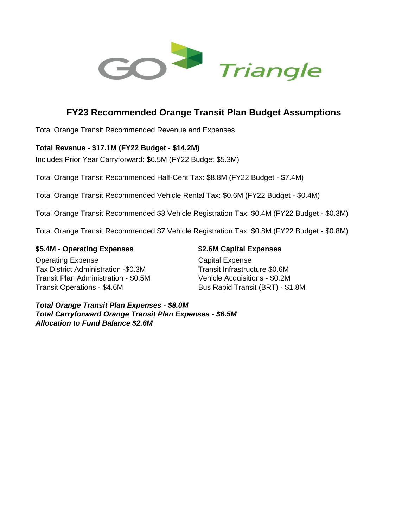

# **FY23 Recommended Orange Transit Plan Budget Assumptions**

Total Orange Transit Recommended Revenue and Expenses

### **Total Revenue - \$17.1M (FY22 Budget - \$14.2M)**

Includes Prior Year Carryforward: \$6.5M (FY22 Budget \$5.3M)

Total Orange Transit Recommended Half-Cent Tax: \$8.8M (FY22 Budget - \$7.4M)

Total Orange Transit Recommended Vehicle Rental Tax: \$0.6M (FY22 Budget - \$0.4M)

Total Orange Transit Recommended \$3 Vehicle Registration Tax: \$0.4M (FY22 Budget - \$0.3M)

Total Orange Transit Recommended \$7 Vehicle Registration Tax: \$0.8M (FY22 Budget - \$0.8M)

#### **\$5.4M - Operating Expenses \$2.6M Capital Expenses**

**Operating Expense** Capital Expense Tax District Administration -\$0.3M Transit Infrastructure \$0.6M Transit Plan Administration - \$0.5M Vehicle Acquisitions - \$0.2M Transit Operations - \$4.6M Bus Rapid Transit (BRT) - \$1.8M

*Total Orange Transit Plan Expenses - \$8.0M Total Carryforward Orange Transit Plan Expenses - \$6.5M Allocation to Fund Balance \$2.6M*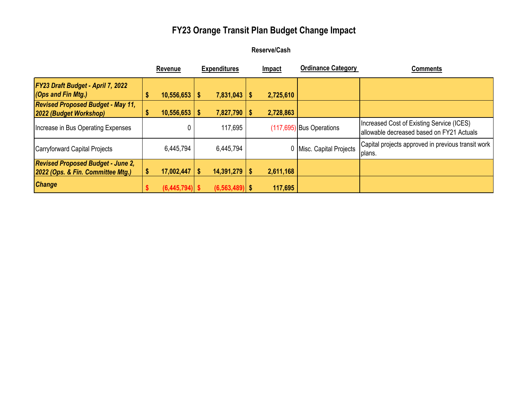# **FY23 Orange Transit Plan Budget Change Impact**

## **Reserve/Cash**

|                                                                               |   | Revenue           |          | <b>Expenditures</b> |      | Impact    | <b>Ordinance Category</b>  | <b>Comments</b>                                                                        |
|-------------------------------------------------------------------------------|---|-------------------|----------|---------------------|------|-----------|----------------------------|----------------------------------------------------------------------------------------|
| <b>FY23 Draft Budget - April 7, 2022</b><br>$(Ops$ and Fin Mtg.)              | S | $10,556,653$   \$ |          | $7,831,043$   \$    |      | 2,725,610 |                            |                                                                                        |
| <b>Revised Proposed Budget - May 11,</b><br>2022 (Budget Workshop)            | S | 10,556,653        | <b>S</b> | 7,827,790           | - \$ | 2,728,863 |                            |                                                                                        |
| Increase in Bus Operating Expenses                                            |   | 0                 |          | 117,695             |      |           | $(117,695)$ Bus Operations | Increased Cost of Existing Service (ICES)<br>allowable decreased based on FY21 Actuals |
| Carryforward Capital Projects                                                 |   | 6,445,794         |          | 6,445,794           |      |           | 0 Misc. Capital Projects   | Capital projects approved in previous transit work<br>plans.                           |
| <b>Revised Proposed Budget - June 2,</b><br>2022 (Ops. & Fin. Committee Mtg.) |   | $17,002,447$   \$ |          | $14,391,279$   \$   |      | 2,611,168 |                            |                                                                                        |
| <b>Change</b>                                                                 |   | $(6,445,794)$ \$  |          | $(6, 563, 489)$ \$  |      | 117,695   |                            |                                                                                        |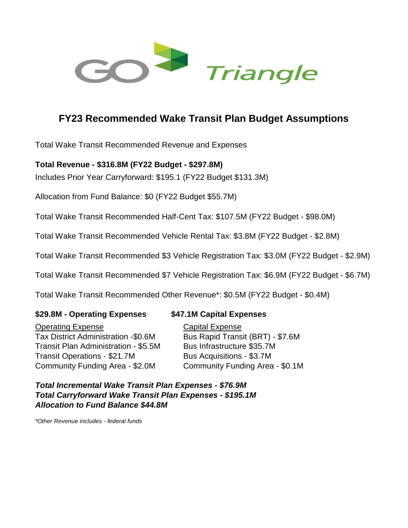

# **FY23 Recommended Wake Transit Plan Budget Assumptions**

Total Wake Transit Recommended Revenue and Expenses

# **Total Revenue - \$316.8M (FY22 Budget - \$297.8M)**

Includes Prior Year Carryforward: \$195.1 (FY22 Budget \$131.3M)

Allocation from Fund Balance: \$0 (FY22 Budget \$55.7M)

Total Wake Transit Recommended Half-Cent Tax: \$107.5M (FY22 Budget - \$98.0M)

Total Wake Transit Recommended Vehicle Rental Tax: \$3.8M (FY22 Budget - \$2.8M)

Total Wake Transit Recommended \$3 Vehicle Registration Tax: \$3.0M (FY22 Budget - \$2.9M)

Total Wake Transit Recommended \$7 Vehicle Registration Tax: \$6.9M (FY22 Budget - \$6.7M)

Total Wake Transit Recommended Other Revenue\*: \$0.5M (FY22 Budget - \$0.4M)

## **\$29.8M - Operating Expenses \$47.1M Capital Expenses**

Operating Expense Capital Expense Tax District Administration -\$0.6M Bus Rapid Transit (BRT) - \$7.6M Transit Plan Administration - \$5.5M Bus Infrastructure \$35.7M Transit Operations - \$21.7M Bus Acquisitions - \$3.7M Community Funding Area - \$2.0M Community Funding Area - \$0.1M

*Total Incremental Wake Transit Plan Expenses - \$76.9M Total Carryforward Wake Transit Plan Expenses - \$195.1M Allocation to Fund Balance \$44.8M*

*\*Other Revenue includes - federal funds*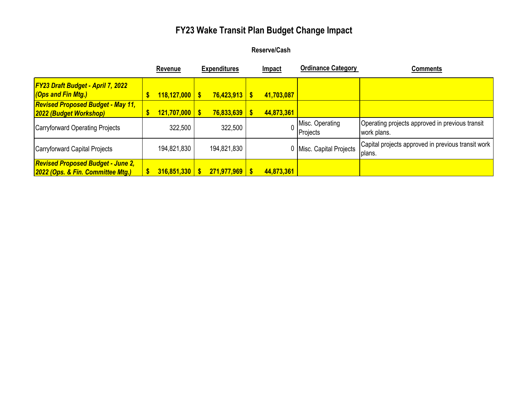# **FY23 Wake Transit Plan Budget Change Impact**

## **Reserve/Cash**

|                                                                               | Revenue            | <b>Expenditures</b> | <b>Impact</b> | <b>Ordinance Category</b>   | Comments                                                       |
|-------------------------------------------------------------------------------|--------------------|---------------------|---------------|-----------------------------|----------------------------------------------------------------|
| <b>FY23 Draft Budget - April 7, 2022</b><br><b>Cops and Fin Mtg.)</b>         | $118,127,000$   \$ | $76,423,913$ \$     | 41,703,087    |                             |                                                                |
| <b>Revised Proposed Budget - May 11,</b><br>2022 (Budget Workshop)            | $121,707,000$   \$ | $76,833,639$ \$     | 44,873,361    |                             |                                                                |
| Carryforward Operating Projects                                               | 322,500            | 322,500             |               | Misc. Operating<br>Projects | Operating projects approved in previous transit<br>work plans. |
| Carryforward Capital Projects                                                 | 194,821,830        | 194,821,830         |               | 0 Misc. Capital Projects    | Capital projects approved in previous transit work<br>plans.   |
| <b>Revised Proposed Budget - June 2,</b><br>2022 (Ops. & Fin. Committee Mtg.) | $316,851,330$   \$ | $271,977,969$ \$    | 44,873,361    |                             |                                                                |